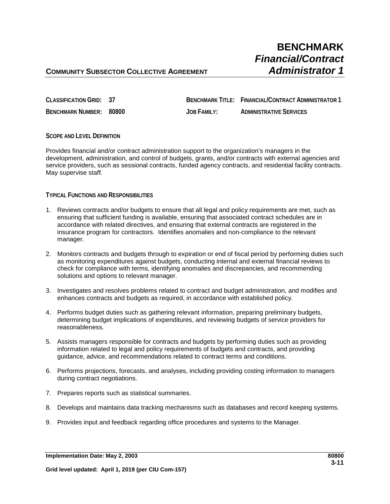# **BENCHMARK** *Financial/Contract*

### **COMMUNITY SUBSECTOR COLLECTIVE AGREEMENT** *Administrator 1*

| CLASSIFICATION GRID: 37 |                    | <b>BENCHMARK TITLE: FINANCIAL/CONTRACT ADMINISTRATOR 1</b> |
|-------------------------|--------------------|------------------------------------------------------------|
| BENCHMARK NUMBER: 80800 | <b>JOB FAMILY:</b> | <b>ADMINISTRATIVE SERVICES</b>                             |

#### **SCOPE AND LEVEL DEFINITION**

Provides financial and/or contract administration support to the organization's managers in the development, administration, and control of budgets, grants, and/or contracts with external agencies and service providers, such as sessional contracts, funded agency contracts, and residential facility contracts. May supervise staff.

#### **TYPICAL FUNCTIONS AND RESPONSIBILITIES**

- 1. Reviews contracts and/or budgets to ensure that all legal and policy requirements are met, such as ensuring that sufficient funding is available, ensuring that associated contract schedules are in accordance with related directives, and ensuring that external contracts are registered in the insurance program for contractors. Identifies anomalies and non-compliance to the relevant manager.
- 2. Monitors contracts and budgets through to expiration or end of fiscal period by performing duties such as monitoring expenditures against budgets, conducting internal and external financial reviews to check for compliance with terms, identifying anomalies and discrepancies, and recommending solutions and options to relevant manager.
- 3. Investigates and resolves problems related to contract and budget administration, and modifies and enhances contracts and budgets as required, in accordance with established policy.
- 4. Performs budget duties such as gathering relevant information, preparing preliminary budgets, determining budget implications of expenditures, and reviewing budgets of service providers for reasonableness.
- 5. Assists managers responsible for contracts and budgets by performing duties such as providing information related to legal and policy requirements of budgets and contracts, and providing guidance, advice, and recommendations related to contract terms and conditions.
- 6. Performs projections, forecasts, and analyses, including providing costing information to managers during contract negotiations.
- 7. Prepares reports such as statistical summaries.
- 8. Develops and maintains data tracking mechanisms such as databases and record keeping systems.
- 9. Provides input and feedback regarding office procedures and systems to the Manager.